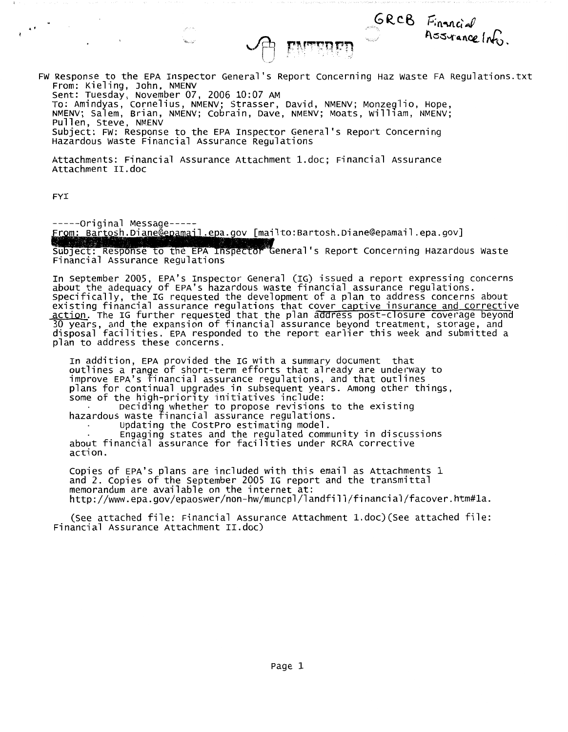GRCB Financial<br>Assurance INFO.

FW Response to the EPA Inspector General's Report Concerning Haz waste FA Regulations.txt From: Kieling, John, **NMENV** 

Sent: Tuesday, November 07, 2006 10:07 AM To: Amindyas, Cornelius, NMENV; Strasser, David, NMENV; Monzeglio, Hope, NMENV; Salem, Brian, NMENV; Cobrain, Dave, NMENV; Moats, William, NMENV; **Pullen, Steve, NMENV**  Subject: FW: Response to the EPA Inspector General's Report Concerning<br>Hazardous Waste Financial Assurance Regulations

.<br>Secolul

Attachments: Financial Assurance Attachment 1.doc; Financial Assurance Attachment II.doc

**FYI** 

..

-----Original Message----- <u>From: Bartosh.Diane@epamail.ep</u>a.gov [mailto:Bartosh.Diane@epamail.epa.gov]

Subject: Response to the EPA Inspector General's Report Concerning Hazardous Waste Financial Assurance Regulations

In September 2005, EPA's Inspector General (IG) issued a report expressing concerns about the adequacy of EPA's hazardous waste financial assurance regulations. Specifically, the IG requested the development of a plan to address concerns about existing financial assurance regulations that cover captive insurance and corrective<br>action. The IG further requested that the plan address post-closure coverage beyond action. The IG further requested that the plan address post-closure coverage beyond<br>30 years, and the expansion of financial assurance beyond treatment, storage, and disposal facilities. EPA responded to the report earlier this week and submitted a plan to address these concerns.

In addition, EPA provided the IG with a summary document that outlines a range of short-term efforts that already are underway to improve EPA's financial assurance regulations, and that outlines plans for continual upgrades in subsequent years. Among other things, some of the hi9h-priority initiatives include:

• Deciding whether to propose revisions to the existing hazardous waste financial assurance regulations.<br>Updating the CostPro estimating model.

Updating the CostPro estimating model.<br>Engaging states and the regulated community in discussions about financial assurance for facilities under RCRA corrective action.

copies of EPA's plans are included with this email as Attachments 1 and 2. copies of the September 2005 IG report and the transmittal memorandum are available on the internet at: http://www.epa.gov/epaoswer/non-hw/muncpl/landfill/financial/facover.htm#la.

(See attached file: Financial Assurance Attachment 1.doc)(See attached file: Financial Assurance Attachment II.doc)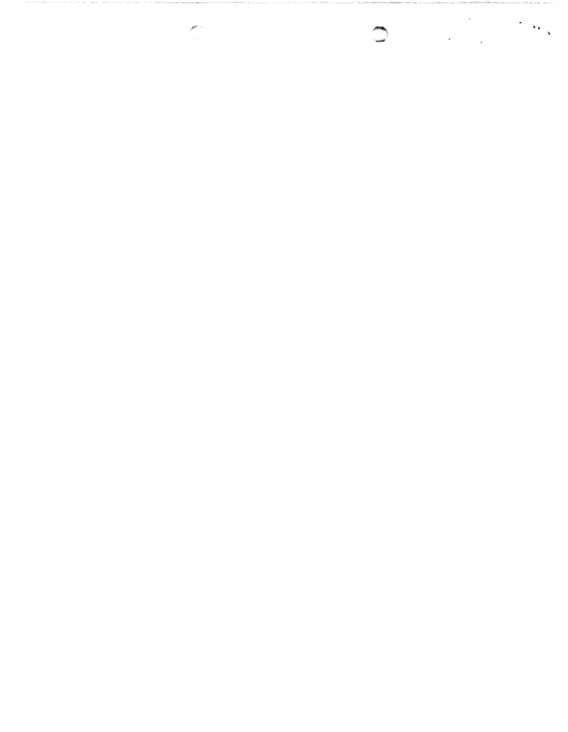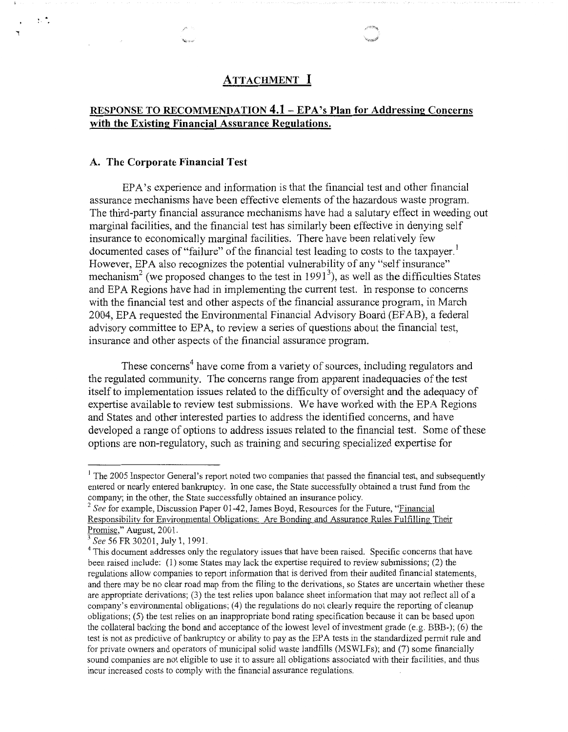### **ATTACHMENT I**

## **RESPONSE TO RECOMMENDATION 4.1 - EPA's Plan for Addressing Concerns with the Existing Financial Assurance Regulations.**

#### **A. The Corporate Financial Test**

 $\sim$   $^{\circ}$ 

EPA's experience and information is that the financial test and other financial assurance mechanisms have been effective elements of the hazardous waste program. The third-party financial assurance mechanisms have had a salutary effect in weeding out marginal facilities, and the financial test has similarly been effective in denying self insurance to economically marginal facilities. There have been relatively few documented cases of "failure" of the financial test leading to costs to the taxpayer. $1$ However, EPA also recognizes the potential vulnerability of any "self insurance" mechanism<sup>2</sup> (we proposed changes to the test in 1991<sup>3</sup>), as well as the difficulties States and EPA Regions have had in implementing the current test. In response to eoncerns with the financial test and other aspects of the financial assurance program, in March 2004, EPA requested the Environmental Financial Advisory Board (EF AB), a federal advisory committee to EPA, to review a series of questions about the financial test, insurance and other aspects of the financial assurance program.

These concerns<sup>4</sup> have come from a variety of sources, including regulators and the regulated community. The concerns range from apparent inadequacies of the test itself to implementation issues related to the difficulty of oversight and the adequacy of expertise available to review test submissions. We have worked with the EPA Regions and States and other interested parties to address the identified concerns, and have developed a range of options to address issues related to the financial test. Some of these options are non-regulatory, such as training and securing specialized expertise for

<sup>&</sup>lt;sup>1</sup> The 2005 Inspector General's report noted two companies that passed the financial test, and subsequently entered or nearly entered bankruptcy. In one case, the State successfully obtained a trust fund from the company; in the other, the State successfully obtained an insurance policy.

<sup>&</sup>lt;sup>2</sup> See for example, Discussion Paper 01-42, James Boyd, Resources for the Future, "Financial" Responsibility for Environmental Obligations: Are Bonding and Assurance Rules Fulfilling Their

Promise," August, 2001.<br><sup>3</sup> *See* 56 FR 30201, July 1, 1991.<br><sup>4</sup> This document addresses only the regulatory issues that have been raised. Specific concerns that have been raised include: (I) some States may lack the expertise required to review submissions; (2) the regulations allow companies to report information that is derived from their audited financial statements, and there may be no clear road map from the filing to the derivations, so States are uncertain whether these are appropriate derivations; (3) the test relies upon balance sheet information that may not reflect all of a company's environmental obligations; (4) the regulations do not clearly require the reporting of cleanup obligations; (5) the test relies on an inappropriate bond rating specification because it can be based upon the collateral backing the bond and acceptance of the lowest level of investment grade (e.g. BBB-); (6) the test is not as predictive of bankruptcy or ability to pay as the EPA tests in the standardized permit rule and for private owners and operators of municipal solid waste landfills (MSWLFs); and (7) some financially sound companies are not eligible to use it to assure all obligations associated with their facilities, and thus incur increased costs to comply with the financial assurance regulations.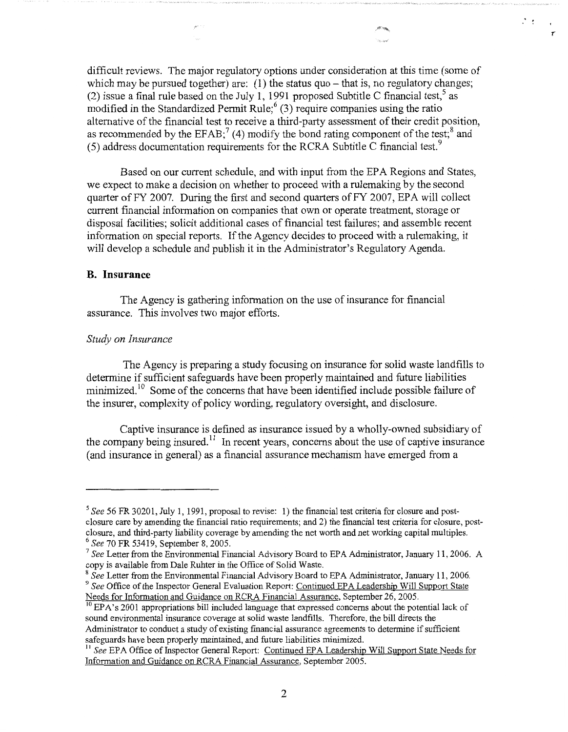difficult reviews. The major regulatory options under consideration at this time (some of which may be pursued together) are: (1) the status quo – that is, no regulatory changes; (2) issue a final rule based on the July 1, 1991 proposed Subtitle C financial test,<sup>5</sup> as modified in the Standardized Permit Rule;  $(3)$  require companies using the ratio alternative of the financial test to receive a third-party assessment of their credit position, as recommended by the EFAB;<sup>7</sup>(4) modify the bond rating component of the test;<sup>8</sup> and (5) address documentation requirements for the RCRA Subtitle C financial test.<sup>9</sup>

.<br>Rođen

*r* 

 $\therefore$ 

Based on our current schedule, and with input from the EPA Regions and States, we expect to make a decision on whether to proceed with a rulemaking by the second quarter of FY 2007. During the first and second quarters of FY 2007, EPA will collect current financial information on companies that own or operate treatment, storage or disposal facilities; solicit additional cases of financial test failures; and assemble recent information on special reports. If the Agency decides to proceed with a rulemaking, it will develop a schedule and publish it in the Administrator's Regulatory Agenda.

### **B. Insurance**

The Agency is gathering information on the use of insurance for financial assurance. This involves two major efforts.

#### *Study on Insurance*

The Agency is preparing a study focusing on insurance for solid waste landfills to determine if sufficient safeguards have been properly maintained and future liabilities minimized.<sup>10</sup> Some of the concerns that have been identified include possible failure of the insurer, complexity of policy wording, regulatory oversight, and disclosure.

Captive insurance is defined as insurance issued by a wholly-owned subsidiary of the company being insured.<sup>11</sup> In recent years, concerns about the use of captive insurance (and insurance in general) as a financial assurance mechanism have emerged from a

<sup>&</sup>lt;sup>5</sup> See 56 FR 30201, July 1, 1991, proposal to revise: 1) the financial test criteria for closure and postclosure care by amending the financial ratio requirements; and 2) the fmancial test criteria for closure, postclosure, and third-party liability coverage by amending the net worth and net working capital multiples.

<sup>&</sup>lt;sup>6</sup> See 70 FR 53419, September 8, 2005.<br><sup>7</sup> See Letter from the Environmental Financial Advisory Board to EPA Administrator, January 11, 2006. A copy is available from Dale Ruhter in the Office of Solid Waste.

<sup>&</sup>lt;sup>8</sup> See Letter from the Environmental Financial Advisory Board to EPA Administrator, January 11, 2006.

<sup>&</sup>lt;sup>9</sup> See Office of the Inspector General Evaluation Report: Continued EPA Leadership Will Support State Needs for Information and Guidance on RCRA Financial Assurance, September 26, 2005.

 $<sup>0</sup>$  EPA's 2001 appropriations bill included language that expressed concerns about the potential lack of</sup> sound environmental insurance coverage at solid waste landfills. Therefore, the bill directs the Administrator to conduct a study of existing financial assurance agreements to determine if sufficient safeguards have been properly maintained, and future liabilities minimized.

<sup>&</sup>lt;sup>11</sup> See EPA Office of Inspector General Report: Continued EPA Leadership Will Support State Needs for Information and Guidance on RCRA Financial Assurance, September 2005.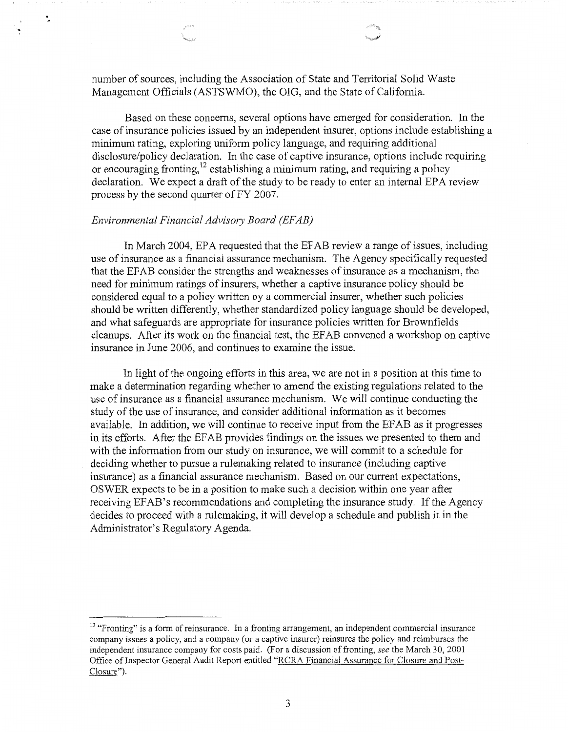number of sources, including the Association of State and Territorial Solid Waste Management Officials (ASTSWMO), the OIG, and the State of California.

Based on these concerns, several options have emerged for consideration. In the case of insurance policies issued by an independent insurer, options include establishing a minimum rating, exploring uniform policy language, and requiring additional disclosure/policy declaration. In the case of captive insurance, options include requiring or encouraging fronting, 12 establishing a minimum rating, and requiring a policy declaration. We expect a draft of the study to be ready to enter an internal EPA review process by the second quarter of FY 2007.

#### *Environmental Financial Advis01y Board (EF AB)*

 $\ddot{\cdot}$ 

In March 2004, EPA requested that the EF AB review a range of issues, including use of insurance as a financial assurance mechanism. The Agency specifically requested that the EF AB consider the strengths and weaknesses of insurance as a mechanism, the need for minimum ratings of insurers, whether a captive insurance policy should be considered equal to a policy written by a commercial insurer, whether such policies should be written differently, whether standardized policy language should be developed, and what safeguards are appropriate for insurance policies written for Brownfields cleanups. After its work on the financial test, the EF AB convened a workshop on captive insurance in June 2006, and continues to examine the issue.

In light of the ongoing efforts in this area, we are not in a position at this time to make a determination regarding whether to amend the existing regulations related to the use of insurance as a financial assurance mechanism. We will continue conducting the study of the use of insurance, and consider additional information as it becomes available. In addition, we will continue to receive input from the EF AB as it progresses in its efforts. After the EF AB provides findings on the issues we presented to them and with the information from our study on insurance, we will commit to a schedule for deciding whether to pursue a rulemaking related to insurance (including captive insurance) as a financial assurance mechanism. Based on our current expectations, OSWER expects to be in a position to make such a decision within one year after receiving EFAB's recommendations and completing the insurance study. If the Agency decides to proceed with a rulemaking, it will develop a schedule and publish it in the Administrator's Regulatory Agenda.

<sup>&</sup>lt;sup>12</sup> "Fronting" is a form of reinsurance. In a fronting arrangement, an independent commercial insurance company issues a policy, and a company ( or a captive insurer) reinsures the policy and reimburses the independent insurance company for costs paid. (For a discussion of fronting, *see* the March 30, 2001 Office of Inspector General Audit Report entitled "RCRA Financial Assurance for Closure and Post-Closure").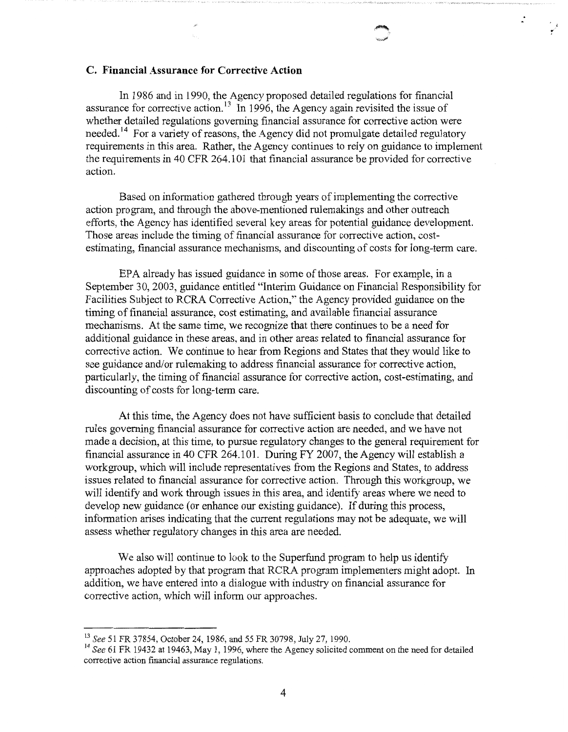### **C. Financial Assurance for Corrective Action**

In 1986 and in 1990, the Agency proposed detailed regulations for financial assurance for corrective action. 13 In 1996, the Agency again revisited the issue of whether detailed regulations governing financial assurance for corrective action were needed.<sup>14</sup> For a variety of reasons, the Agency did not promulgate detailed regulatory requirements in this area. Rather, the Agency continues to rely on guidance to implement the requirements in 40 CFR 264.101 that financial assurance be provided for corrective action.

Based on information gathered through years of implementing the corrective action program, and through the above-mentioned rulemakings and other outreach efforts, the Agency has identified several key areas for potential guidance development. Those areas include the timing of financial assurance for corrective action, costestimating, financial assurance mechanisms, and discounting of costs for long-term care.

EPA already has issued guidance in some of those areas. For example, in a September 30, 2003, guidance entitled "Interim Guidance on Financial Responsibility for Facilities Subject to RCRA Corrective Action," the Agency provided guidance on the timing of financial assurance, cost estimating, and available financial assurance mechanisms. At the same time, we recognize that there continues to be a need for additional guidance in these areas, and in other areas related to financial assurance for corrective action. We continue to hear from Regions and States that they would like to see guidance and/or rulemaking to address financial assurance for corrective action, particularly, the timing of financial assurance for corrective action, cost-estimating, and discounting of costs for long-term care.

At this time, the Agency does not have sufficient basis to conclude that detailed rules governing financial assurance for corrective action are needed, and we have not made a decision, at this time, to pursue regulatory changes to the general requirement for financial assurance in 40 CFR 264.101. During FY 2007, the Agency will establish a workgroup, which will include representatives from the Regions and States, to address issues related to financial assurance for corrective action. Through this workgroup, we will identify and work through issues in this area, and identify areas where we need to develop new guidance (or enhance our existing guidance). If during this process, information arises indicating that the current regulations may not be adequate, we will assess whether regulatory changes in this area are needed.

We also will continue to look to the Superfund program to help us identify approaches adopted by that program that RCRA program implementers might adopt. In addition, we have entered into a dialogue with industry on financial assurance for corrective action, which will inform our approaches.

<sup>&</sup>lt;sup>13</sup> See 51 FR 37854, October 24, 1986, and 55 FR 30798, July 27, 1990.<br><sup>14</sup> See 61 FR 19432 at 19463, May 1, 1996, where the Agency solicited comment on the need for detailed corrective action financial assurance regulations.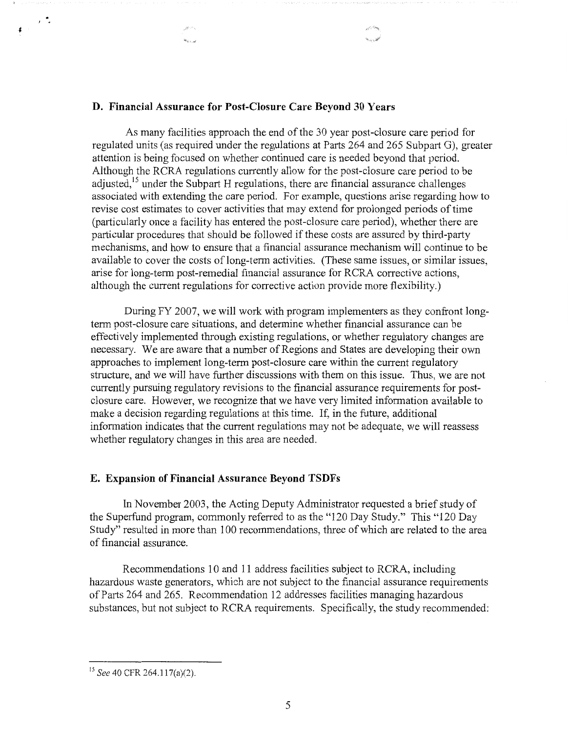#### **D. Financial Assurance for Post-Closure Care Beyond 30 Years**

.<br>Rojstva

 $\cdot$  :

As many facilities approach the end of the 30 year post-closure care period for regulated units (as required under the regulations at Parts 264 and 265 Subpart G), greater attention is being focused on whether continued care is needed beyond that period. Although the RCRA regulations currently allow for the post-closure care period to be adjusted, <sup>15</sup> under the Subpart H regulations, there are financial assurance challenges associated with extending the care period. For example, questions arise regarding how to revise cost estimates to cover activities that may extend for prolonged periods of time (particularly once a facility has entered the post-closure care period), whether there are particular procedures that should be followed if these costs are assured by third-party mechanisms, and how to ensure that a financial assurance mechanism will continue to be available to cover the costs of long-term activities. (These same issues, or similar issues, arise for long-term post-remedial financial assurance for RCRA corrective actions, although the current regulations for corrective action provide more flexibility.)

During FY 2007, we will work with program implementers as they confront longterm post-closure care situations, and determine whether financial assurance can be effectively implemented through existing regulations, or whether regulatory changes are necessary. We are aware that a number of Regions and States are developing their own approaches to implement long-term post-closure care within the current regulatory structure, and we will have further discussions with them on this issue. Thus, we are not currently pursuing regulatory revisions to the financial assurance requirements for postclosure care. However, we recognize that we have very limited information available to make a decision regarding regulations at this time. If, in the future, additional information indicates that the current regulations may not be adequate, we will reassess whether regulatory changes in this area are needed.

#### **E. Expansion of Financial Assurance Beyond TSDFs**

In November 2003, the Acting Deputy Administrator requested a brief study of the Superfund program, commonly referred to as the "120 Day Study." This "120 Day Study" resulted in more than 100 recommendations, three of which are related to the area of financial assurance.

Recommendations 10 and 11 address facilities subject to RCRA, including hazardous waste generators, which are not subject to the financial assurance requirements of Parts 264 and 265. Recommendation 12 addresses facilities managing hazardous substances, but not subject to RCRA requirements. Specifically, the study recommended:

<sup>&</sup>lt;sup>15</sup> See 40 CFR 264.117(a)(2).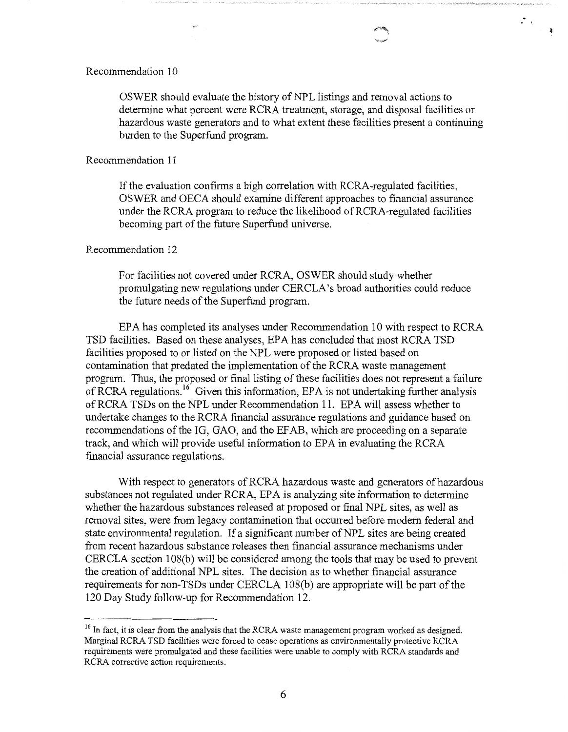#### Recommendation 10

OSWER should evaluate the history of NPL listings and removal actions to determine what percent were RCRA treatment, storage, and disposal facilities or hazardous waste generators and to what extent these facilities present a continuing burden to the Superfund program.

.<br>.<br>. • I

### Recommendation 11

If the evaluation confirms a high correlation with RCRA-regulated facilities, OSWER and OECA should examine different approaches to financial assurance under the RCRA program to reduce the likelihood of RCRA-regulated facilities becoming part of the future Superfund universe.

### Recommendation 12

For facilities not covered under RCRA, OSWER should study whether promulgating new regulations under CERCLA's broad authorities could reduce the future needs of the Superfund program.

EPA has completed its analyses under Recommendation 10 with respect to RCRA TSD facilities. Based on these analyses, EPA has concluded that most RCRA TSD facilities proposed to or listed on the NPL were proposed or listed based on contamination that predated the implementation of the RCRA waste management program. Thus, the proposed or final listing of these facilities does not represent a failure of RCRA regulations.<sup>16</sup> Given this information, EPA is not undertaking further analysis of RCRA TSDs on the NPL under Recommendation 11. EPA will assess whether to undertake changes to the RCRA financial assurance regulations and guidance based on recommendations of the IG, GAO, and the EF AB, which are proceeding on a separate track, and which will provide useful information to EPA in evaluating the RCRA financial assurance regulations.

With respect to generators of RCRA hazardous waste and generators of hazardous substances not regulated under RCRA, EPA is analyzing site information to determine whether the hazardous substances released at proposed or final NPL sites, as well as removal sites, were from legacy contamination that occurred before modem federal and state environmental regulation. If a significant number of NPL sites are being created from recent hazardous substance releases then financial assurance mechanisms under CERCLA section 108(b) will be considered among the tools that may be used to prevent the creation of additional NPL sites. The decision as to whether financial assurance requirements for non-TSDs under CERCLA 108(b) are appropriate will be part of the 120 Day Study follow-up for Recommendation 12.

<sup>&</sup>lt;sup>16</sup> In fact, it is clear from the analysis that the RCRA waste management program worked as designed. Marginal RCRA TSD facilities were forced to cease operations as environmentally protective RCRA requirements were promulgated and these facilities were unable to comply with RCRA standards and RCRA corrective action requirements.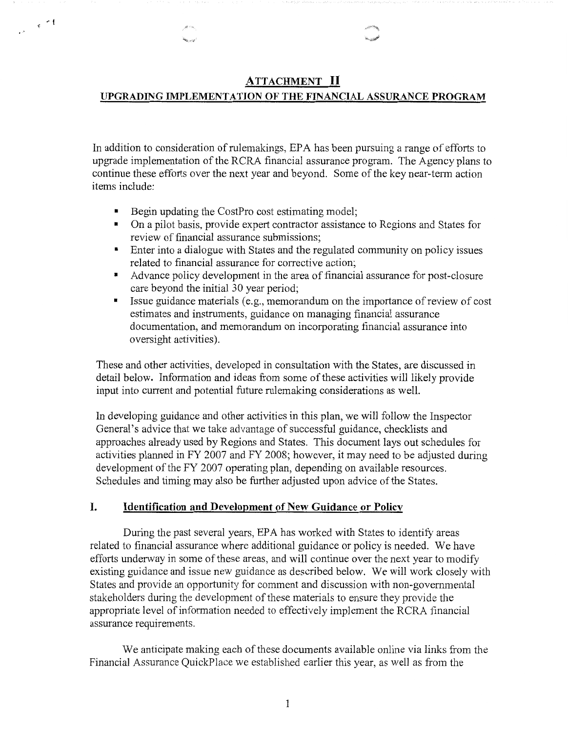# **ATTACHMENT II UPGRADING IMPLEMENTATION OF THE FINANCIAL ASSURANCE PROGRAM**

In addition to consideration of rulemakings, EPA has been pursuing a range of efforts to upgrade implementation of the RCRA financial assurance program. The Agency plans to continue these efforts over the next year and beyond. Some of the key near--term action items include:

• Begin updating the CostPro cost estimating model;

 $\frac{1}{\sqrt{2}}\int_{-\infty}^{\infty}e^{-\frac{2\pi i}{\hbar}}\left( \frac{1}{\hbar}\right) ^{2}d\mu d\nu$ 

- On a pilot basis, provide expert contractor assistance to Regions and States for review of financial assurance submissions;
- Enter into a dialogue with States and the regulated community on policy issues related to financial assurance for corrective action;
- Advance policy development in the area of financial assurance for post-closure care beyond the initial 30 year period;
- Issue guidance materials (e.g., memorandum on the importance of review of cost estimates and instruments, guidance on managing financial assurance documentation, and memorandum on incorporating financial assurance into oversight activities).

These and other activities, developed in consultation with the States, are discussed in detail below. Information and ideas from some of these activities will likely provide input into current and potential future rulemaking considerations as well.

In developing guidance and other activities in this plan, we will follow the Inspector General's advice that we take advantage of successful guidance, checklists and approaches already used by Regions and States. This document lays out schedules for activities planned in FY 2007 and FY 2008; however, it may need to be adjusted during development of the FY 2007 operating plan, depending on available resources. Schedules and timing may also be further adjusted upon advice of the States.

### I. **Identification and Development of New Guidance or Policy**

During the past several years, EPA has worked with States to identify areas related to financial assurance where additional guidance or policy is needed. We have efforts underway in some of these areas, and will continue over the next year to modify existing guidance and issue new guidance as described below. We will work closely with States and provide an opportunity for comment and discussion with non-governmental stakeholders during the development of these materials to ensure they provide the appropriate level of information needed to effectively implement the RCRA financial assurance requirements.

We anticipate making each of these documents available online via links from the Financial Assurance QuickPlace we established earlier this year, as well as from the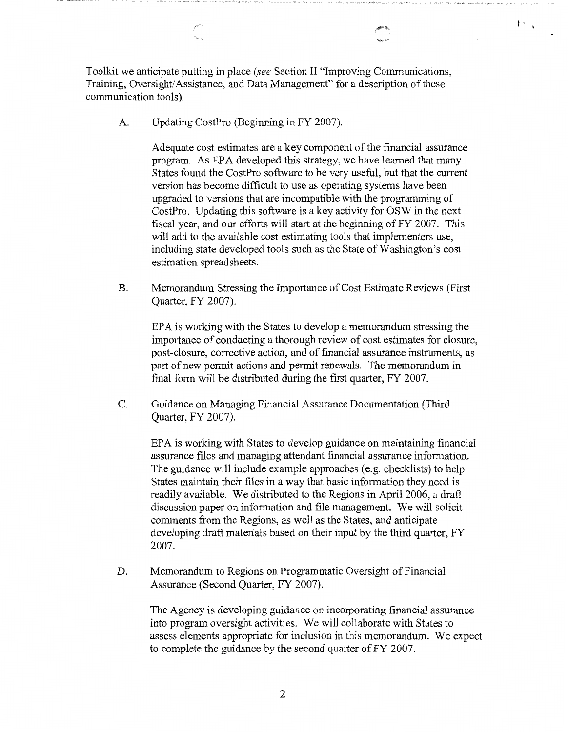Toolkit we anticipate putting in place (see Section II "Improving Communications, Training, Oversight/ Assistance, and Data Management" for a description of these communication tools).

A. Updating CostPro (Beginning in FY 2007).

Adequate cost estimates are a key component of the financial assurance program. As EPA developed this strategy, we have learned that many States found the CostPro software to be very useful, but that the current version has become difficult to use as operating systems have been upgraded to versions that are incompatible with the programming of CostPro. Updating this software is a key activity for OSW in the next fiscal year, and our efforts will start at the beginning of FY 2007. This will add to the available cost estimating tools that implementers use, including state developed tools such as the State of Washington's cost estimation spreadsheets.

 $t \leq \frac{1}{\alpha}$ 

 $\sim$  .

B. Memorandum Stressing the Importance of Cost Estimate Reviews (First Quarter, FY 2007).

EPA is working with the States to develop a memorandum stressing the importance of conducting a thorough review of cost estimates for closure, post-closure, corrective action, and of financial assurance instruments, as part of new permit actions and permit renewals. The memorandum in final form will be distributed during the first quarter, FY 2007.

C. Guidance on Managing Financial Assurance Documentation (Third Quarter, FY 2007).

EPA is working with States to develop guidance on maintaining financial assurance files and managing attendant financial assurance information. The guidance will include example approaches (e.g. checklists) to help States maintain their files in a way that basic information they need is readily available. We distributed to the Regions in April 2006, a draft discussion paper on information and file management. We will solicit comments from the Regions, as well as the States, and anticipate developing draft materials based on their input by the third quarter, FY 2007.

D. Memorandum to Regions on Programmatic Oversight of Financial Assurance (Second Quarter, FY 2007).

The Agency is developing guidance on incorporating financial assurance into program oversight activities. We will collaborate with States to assess elements appropriate for inclusion in this memorandum. We expect to complete the guidance by the second quarter of FY 2007.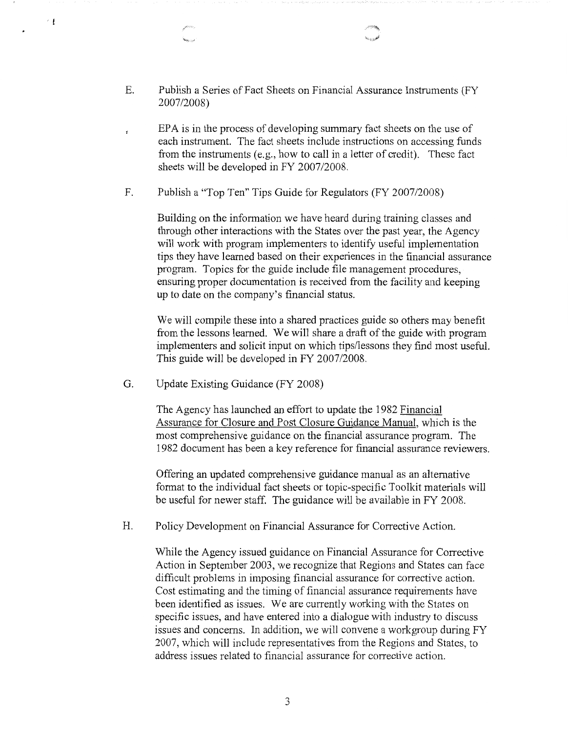- E. Publish a Series of Fact Sheets on Financial Assurance Instruments (FY 2007/2008)
- EPA is in the process of developing summary fact sheets on the use of  $\overline{z}$ each instrument. The fact sheets include instructions on accessing funds from the instruments (e.g., how to call in a letter of credit). These fact sheets will be developed in FY 2007/2008.
- F. Publish a "Top Ten" Tips Guide for Regulators (FY 2007/2008)

Building on the information we have heard during training classes and through other interactions with the States over the past year, the Agency will work with program implementers to identify useful implementation tips they have learned based on their experiences in the financial assurance program. Topics for the guide include file management procedures, ensuring proper documentation is received from the facility and keeping up to date on the company's financial status.

We will compile these into a shared practices guide so others may benefit from the lessons learned. We will share a draft of the guide with program implementers and solicit input on which tips/lessons they find most useful. This guide will be developed in FY 2007/2008.

G. Update Existing Guidance (FY 2008)

 $\cdot$  !

The Agency has launched an effort to update the 1982 Financial Assurance for Closure and Post Closure Guidance Manual, which is the most comprehensive guidance on the financial assurance program. The 1982 document has been a key reference for financial assurance reviewers.

Offering an updated comprehensive guidance manual as an alternative format to the individual fact sheets or topic-specific Toolkit materials will be useful for newer staff. The guidance will be available in FY 2008.

H. Policy Development on Financial Assurance for Corrective Action.

While the Agency issued guidance on Financial Assurance for Corrective Action in September 2003, we recognize that Regions and States can face difficult problems in imposing financial assurance for corrective action. Cost estimating and the timing of financial assurance requirements have been identified as issues. We are currently working with the States on specific issues, and have entered into a dialogue with industry to discuss issues and concerns. In addition, we will convene a workgroup during FY 2007, which will include representatives from the Regions and States, to address issues related to financial assurance for corrective action.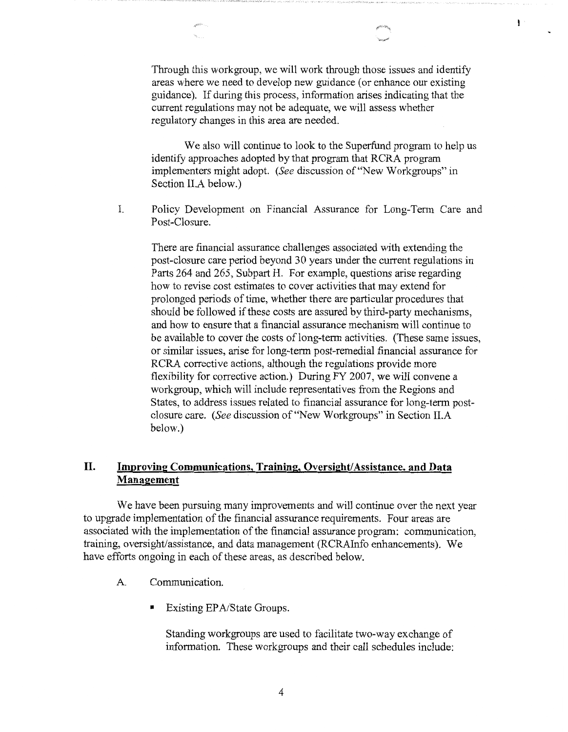Through this workgroup, we will work through those issues and identify areas where we need to develop new guidance (or enhance our existing guidance). If during this process, information arises indicating that the current regulations may not be adequate, we will assess whether regulatory changes in this area are needed.

 $\mathbf{I}$ 

We also will continue to look to the Superfund program to help us identify approaches adopted by that program that RCRA program implementers might adopt. *(See discussion of "New Workgroups" in* Section II.A below.)

I. Policy Development on Financial Assurance for Long-Term Care and Post-Closure.

There are financial assurance challenges associated with extending the post-closure care period beyond 30 years under the current regulations in Parts 264 and 265, Subpart H. For example, questions arise regarding how to revise cost estimates to cover activities that may extend for prolonged periods of time, whether there are particular procedures that should be followed if these costs are assured by third-party mechanisms, and how to ensure that a financial assurance mechanism will continue to be available to cover the costs of long-term activities. (These same issues, or similar issues, arise for long-term post-remedial financial assurance for RCRA corrective actions, although the regulations provide more flexibility for corrective action.) During FY 2007, we will convene a workgroup, which will include representatives from the Regions and States, to address issues related to financial assurance for long-term postclosure care. *(See* discussion of"New Workgroups" in Section II.A below.)

#### **II. Improving Communications, Training, Oversight/ Assistance, and Data Management**

We have been pursuing many improvements and will continue over the next year to upgrade implementation of the financial assurance requirements. Four areas are associated with the implementation of the financial assurance program: communication, training, oversight/assistance, and data management (RCRAinfo enhancements). We have efforts ongoing in each of these areas, as described below.

- A. Communication.
	- Existing EPA/State Groups.

Standing workgroups are used to facilitate two-way exchange of information. These workgroups and their call schedules include: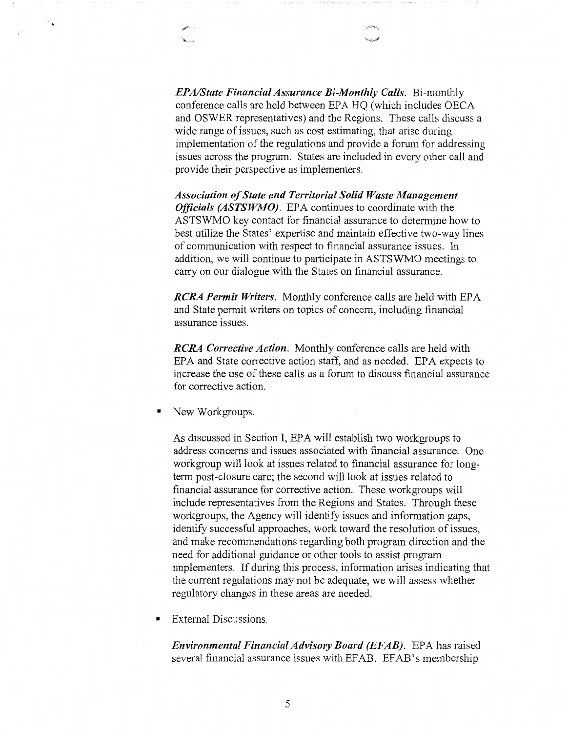*EPA/State Financial Assurance Bi-Monthly Calls.* Bi-monthly conference calls are held between EPA HQ (which includes OECA and OSWER representatives) and the Regions. These calls discuss a wide range of issues, such as cost estimating, that arise during implementation of the regulations and provide a forum for addressing issues across the program. States are included in every other call and provide their perspective as implementers.

*Association of State and Territorial Solid Waste Management Officials (ASTSWMO).* EPA continues to coordinate with the ASTSWMO key contact for financial assurance to determine how to best utilize the States' expertise and maintain effective two-way lines of communication with respect to financial assurance issues. In addition, we will continue to participate in ASTSWMO meetings to carry on our dialogue with the States on financial assurance.

*RCRA Permit Writers.* Monthly conference calls are held with EPA and State permit writers on topics of concern, including financial assurance issues.

*RCRA Corrective Action.* Monthly conference calls are held with EPA and State corrective action staff, and as needed. EPA expects to increase the use of these calls as a forum to discuss financial assurance for corrective action.

• New Workgroups.

.<br>Nasara

As discussed in Section I, EPA will establish two workgroups to address concerns and issues associated with financial assurance. One workgroup will look at issues related to financial assurance for longterm post-closure care; the second will look at issues related to financial assurance for corrective action. These workgroups will include representatives from the Regions and States. Through these workgroups, the Agency will identify issues and information gaps, identify successful approaches, work toward the resolution of issues, and make recommendations regarding both program direction and the need for additional guidance or other tools to assist program implementers. If during this process, information arises indicating that the current regulations may not be adequate, we will assess whether regulatory changes in these areas are needed.

• External Discussions.

*Environmental Financial Advisory Board (EFAB).* EPA has raised several financial assurance issues with EFAB. EFAB's membership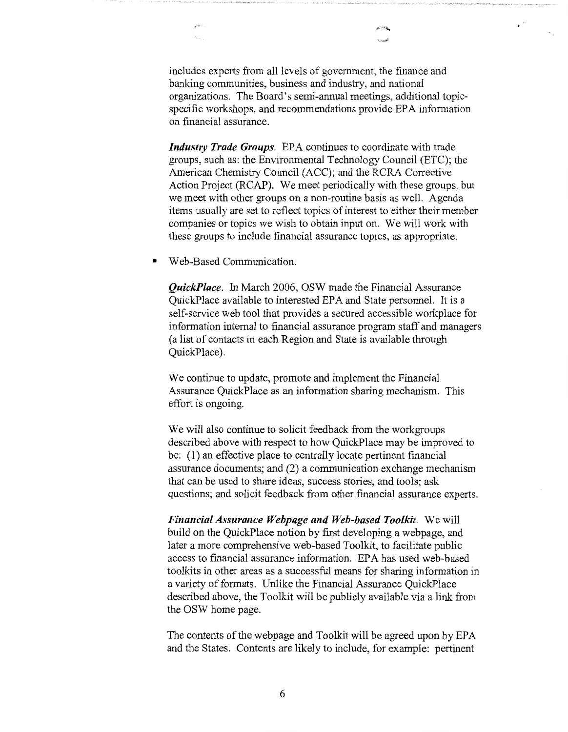includes experts from all levels of government, the finance and banking communities, business and industry, and national organizations. The Board's semi-annual meetings, additional topicspecific workshops, and recommendations provide EPA information on financial assurance.

 $\epsilon$  "

*Industry Trade Groups.* EPA continues to coordinate with trade groups, such as: the Environmental Technology Council (ETC); the American Chemistry Council (ACC); and the RCRA Corrective Action Project (RCAP). We meet periodically with these groups, but we meet with other groups on a non-routine basis as well. Agenda items usually are set to reflect topics of interest to either their member companies or topics we wish to obtain input on. We will work with these groups to include financial assurance topics, as appropriate.

• Web-Based Communication.

*QuickPlace.* In March 2006, OSW made the Financial Assurance QuickPlace available to interested EPA and State personnel. It is a self-service web tool that provides a secured accessible workplace for information internal to financial assurance program staff and managers ( a list of contacts in each Region and State is available through QuickPlace).

We continue to update, promote and implement the Financial Assurance QuickPlace as an information sharing mechanism. This effort is ongoing.

We will also continue to solicit feedback from the workgroups described above with respect to how QuickPlace may be improved to be: (1) an effective place to centrally locate pertinent financial assurance documents; and (2) a communication exchange mechanism that can be used to share ideas, success stories, and tools; ask questions; and solicit feedback from other financial assurance experts.

*Financial Assurance Webpage and Web-based Toolkit.* We will build on the QuickPlace notion by first developing a webpage, and later a more comprehensive web-based Toolkit, to facilitate public access to financial assurance information. EPA has used web-based toolkits in other areas as a successful means for sharing information in a variety of formats. Unlike the Financial Assurance QuickPlace described above, the Toolkit will be publicly available via a link from the OSW home page.

The contents of the webpage and Toolkit will be agreed upon by EPA and the States. Contents are likely to include, for example: pertinent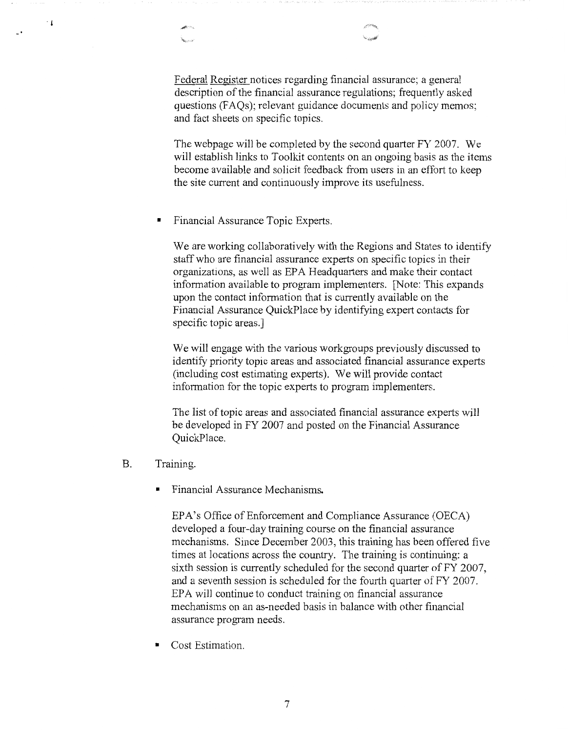Federal Register notices regarding financial assurance; a general description of the financial assurance regulations; frequently asked questions (FAQs); relevant guidance documents and policy memos; and fact sheets on specific topics.

The webpage will be completed by the second quarter FY 2007. We will establish links to Toolkit contents on an ongoing basis as the items become available and solicit feedback from users in an effort to keep the site current and continuously improve its usefulness.

• Financial Assurance Topic Experts.

.<br>Tarihin

We are working collaboratively with the Regions and States to identify staff who are financial assurance experts on specific topics in their organizations, as well as EPA Headquarters and make their contact information available to program implementers. [Note: This expands upon the contact information that is currently available on the Financial Assurance QuickPlace by identifying expert contacts for specific topic areas.]

We will engage with the various workgroups previously discussed to identify priority topic areas and associated financial assurance experts (including cost estimating experts). We will provide contact information for the topic experts to program implementers.

The list of topic areas and associated financial assurance experts will be developed in FY 2007 and posted on the Financial Assurance QuickPlace.

B. Training.

 $\cdot$  1

• Financial Assurance Mechanisms.

EPA's Office of Enforcement and Compliance Assurance (OECA) developed a four-day training course on the financial assurance mechanisms. Since December 2003, this training has been offered five times at locations across the country. The training is continuing: a sixth session is currently scheduled for the second quarter of FY 2007, and a seventh session is scheduled for the fourth quarter of FY 2007. EPA will continue to conduct training on financial assurance mechanisms on an as-needed basis in balance with other financial assurance program needs.

• Cost Estimation.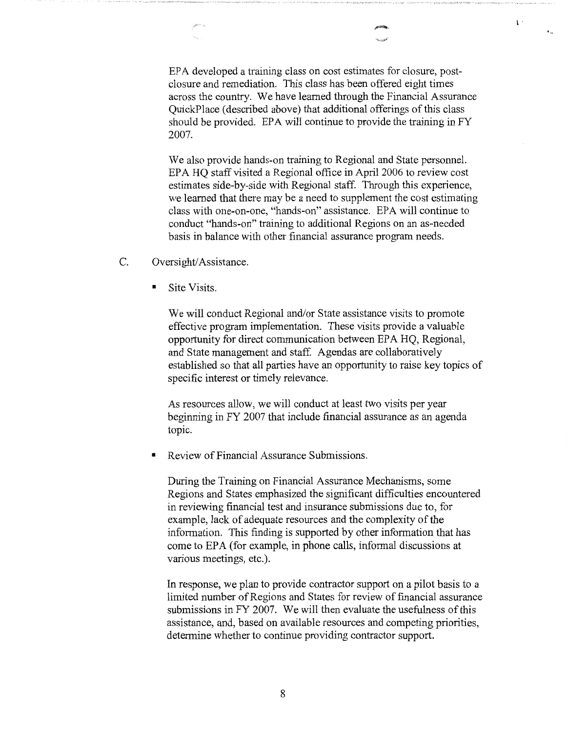EPA developed a training class on cost estimates for closure, postclosure and remediation. This class has been offered eight times across the country. We have learned through the Financial Assurance QuickPlace ( described above) that additional offerings of this class should be provided. EPA will continue to provide the training in FY 2007.

 $\mathbf{I}$ .

We also provide hands-on training to Regional and State personnel. EPA HQ staff visited a Regional office in April 2006 to review cost estimates side-by-side with Regional staff. Through this experience, we learned that there may be a need to supplement the cost estimating class with one-on-one, "hands-on" assistance. EPA will continue to conduct "hands-on" training to additional Regions on an as-needed basis in balance with other financial assurance program needs.

- C. Oversight/Assistance.
	- Site Visits.

We will conduct Regional and/or State assistance visits to promote effective program implementation. These visits provide a valuable opportunity for direct communication between EPA HQ, Regional, and State management and staff. Agendas are collaboratively established so that all parties have an opportunity to raise key topics of specific interest or timely relevance.

As resources allow, we will conduct at least two visits per year beginning in FY 2007 that include financial assurance as an agenda topic.

• Review of Financial Assurance Submissions.

During the Training on Financial Assurance Mechanisms, some Regions and States emphasized the significant difficulties encountered in reviewing financial test and insurance submissions due to, for example, lack of adequate resources and the complexity of the information. This finding is supported by other information that has come to EPA (for example, in phone calls, informal discussions at various meetings, etc.).

In response, we plan to provide contractor support on a pilot basis to a limited number of Regions and States for review of financial assurance submissions in FY 2007. We will then evaluate the usefulness of this assistance, and, based on available resources and competing priorities, determine whether to continue providing contractor support.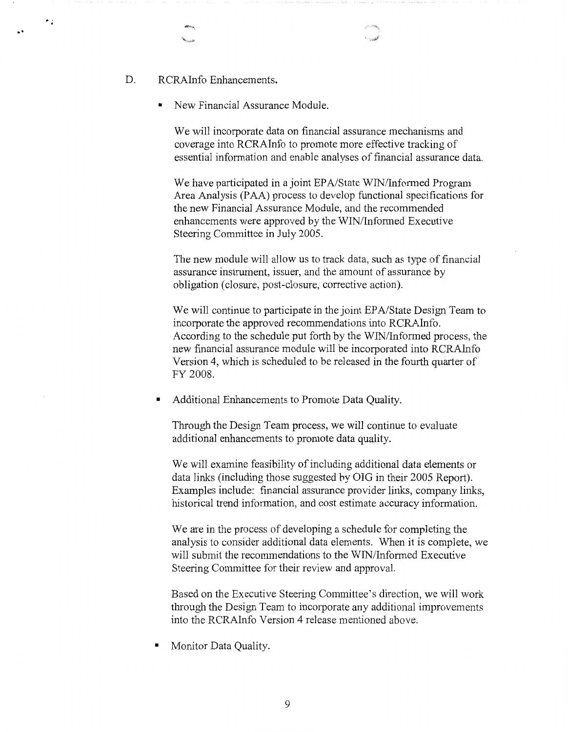### D. RCRAInfo Enhancements.

..

 $\ddot{\phantom{a}}$ 

• New Financial Assurance Module.

We will incorporate data on financial assurance mechanisms and coverage into RCRAinfo to promote more effective tracking of essential information and enable analyses of financial assurance data.

We have participated in a joint EPA/State WIN/Informed Program Area Analysis (PAA) process to develop functional specifications for the new Financial Assurance Module, and the recommended enhancements were approved by the WIN/Infonned Executive Steering Committee in July 2005.

The new module will allow us to track data, such as type of financial assurance instrument, issuer, and the amount of assurance by obligation ( closure, post-closure, corrective action).

We will continue to participate in the joint EPA/State Design Team to incorporate the approved recommendations into RCRAinfo. According to the schedule put forth by the WIN/Informed process, the new financial assurance module will be incorporated into RCRAinfo Version 4, which is scheduled to be released in the fourth quarter of FY 2008.

• Additional Enhancements to Promote Data Quality.

Through the Design Team process, we will continue to evaluate additional enhancements to promote data quality.

We will examine feasibility of including additional data elements or data links (including those suggested by OIG in their 2005 Report). Examples include: financial assurance provider links, company links, historical trend information, and cost estimate accuracy information.

We are in the process of developing a schedule for completing the analysis to consider additional data elements. When it is complete, we will submit the recommendations to the WIN/Informed Executive Steering Committee for their review and approval.

Based on the Executive Steering Committee's direction, we will work through the Design Team to incorporate any additional improvements into the RCRAinfo Version 4 release mentioned above.

Monitor Data Quality.